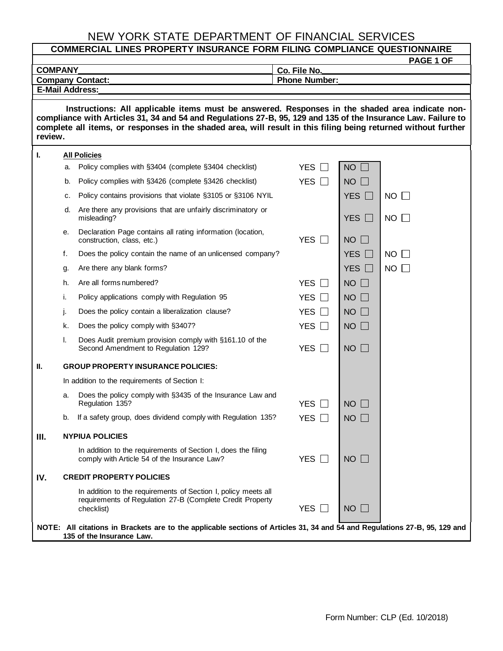## NEW YORK STATE DEPARTMENT OF FINANCIAL SERVICES

| <b>COMPANY</b> |    |                                                                                                                                                                                                                                                                                                                                    | PAGE 1 OF<br>Co. File No. |                 |             |  |  |  |  |  |  |  |
|----------------|----|------------------------------------------------------------------------------------------------------------------------------------------------------------------------------------------------------------------------------------------------------------------------------------------------------------------------------------|---------------------------|-----------------|-------------|--|--|--|--|--|--|--|
|                |    | <b>Company Contact:</b>                                                                                                                                                                                                                                                                                                            | <b>Phone Number:</b>      |                 |             |  |  |  |  |  |  |  |
|                |    | <b>E-Mail Address:</b>                                                                                                                                                                                                                                                                                                             |                           |                 |             |  |  |  |  |  |  |  |
| review.        |    | Instructions: All applicable items must be answered. Responses in the shaded area indicate non-<br>compliance with Articles 31, 34 and 54 and Regulations 27-B, 95, 129 and 135 of the Insurance Law. Failure to<br>complete all items, or responses in the shaded area, will result in this filing being returned without further |                           |                 |             |  |  |  |  |  |  |  |
| ı.             |    | <b>All Policies</b>                                                                                                                                                                                                                                                                                                                |                           |                 |             |  |  |  |  |  |  |  |
|                | a. | Policy complies with §3404 (complete §3404 checklist)                                                                                                                                                                                                                                                                              | YES $\Box$                | $NO$ $\Box$     |             |  |  |  |  |  |  |  |
|                | b. | Policy complies with §3426 (complete §3426 checklist)                                                                                                                                                                                                                                                                              | YES $\Box$                | $NO$ $\Box$     |             |  |  |  |  |  |  |  |
|                | c. | Policy contains provisions that violate §3105 or §3106 NYIL                                                                                                                                                                                                                                                                        |                           | YES $\Box$      | $NO$ $\Box$ |  |  |  |  |  |  |  |
|                | d. | Are there any provisions that are unfairly discriminatory or<br>misleading?                                                                                                                                                                                                                                                        |                           | YES $\Box$      | $NO$ $\Box$ |  |  |  |  |  |  |  |
|                | е. | Declaration Page contains all rating information (location,<br>construction, class, etc.)                                                                                                                                                                                                                                          | YES $\Box$                | $NO$ $\Box$     |             |  |  |  |  |  |  |  |
|                | f. | Does the policy contain the name of an unlicensed company?                                                                                                                                                                                                                                                                         |                           | YES $\Box$      | $NO$ $\Box$ |  |  |  |  |  |  |  |
|                | g. | Are there any blank forms?                                                                                                                                                                                                                                                                                                         |                           | YES $\Box$      | $NO$ $\Box$ |  |  |  |  |  |  |  |
|                | h. | Are all forms numbered?                                                                                                                                                                                                                                                                                                            | YES $\Box$                | $NO$ $\Box$     |             |  |  |  |  |  |  |  |
|                | i. | Policy applications comply with Regulation 95                                                                                                                                                                                                                                                                                      | YES                       | $NO$ $\Box$     |             |  |  |  |  |  |  |  |
|                | j. | Does the policy contain a liberalization clause?                                                                                                                                                                                                                                                                                   | YES $\Box$                | $NO$ $\Box$     |             |  |  |  |  |  |  |  |
|                | k. | Does the policy comply with §3407?                                                                                                                                                                                                                                                                                                 | YES $\Box$                | $NO$ $\Box$     |             |  |  |  |  |  |  |  |
|                | I. | Does Audit premium provision comply with §161.10 of the<br>Second Amendment to Regulation 129?                                                                                                                                                                                                                                     | YES $\Box$                | $NO$ $\Box$     |             |  |  |  |  |  |  |  |
| П.             |    | <b>GROUP PROPERTY INSURANCE POLICIES:</b>                                                                                                                                                                                                                                                                                          |                           |                 |             |  |  |  |  |  |  |  |
|                |    | In addition to the requirements of Section I:                                                                                                                                                                                                                                                                                      |                           |                 |             |  |  |  |  |  |  |  |
|                | a. | Does the policy comply with §3435 of the Insurance Law and<br>Regulation 135?                                                                                                                                                                                                                                                      | <b>YES</b>                | $NO$ $\Box$     |             |  |  |  |  |  |  |  |
|                | b. | If a safety group, does dividend comply with Regulation 135?                                                                                                                                                                                                                                                                       | <b>YES</b>                | NO <sub>2</sub> |             |  |  |  |  |  |  |  |
| Ш.             |    | <b>NYPIUA POLICIES</b>                                                                                                                                                                                                                                                                                                             |                           |                 |             |  |  |  |  |  |  |  |
|                |    | In addition to the requirements of Section I, does the filing<br>comply with Article 54 of the Insurance Law?                                                                                                                                                                                                                      | YES $\square$             | $NO$ $\Box$     |             |  |  |  |  |  |  |  |
| IV.            |    | <b>CREDIT PROPERTY POLICIES</b>                                                                                                                                                                                                                                                                                                    |                           |                 |             |  |  |  |  |  |  |  |
|                |    | In addition to the requirements of Section I, policy meets all<br>requirements of Regulation 27-B (Complete Credit Property<br>checklist)                                                                                                                                                                                          | YES                       | $NO$ $\Box$     |             |  |  |  |  |  |  |  |
|                |    | NOTE: All citations in Brackets are to the applicable sections of Articles 31, 34 and 54 and Regulations 27-B, 95, 129 and<br>135 of the Insurance Law.                                                                                                                                                                            |                           |                 |             |  |  |  |  |  |  |  |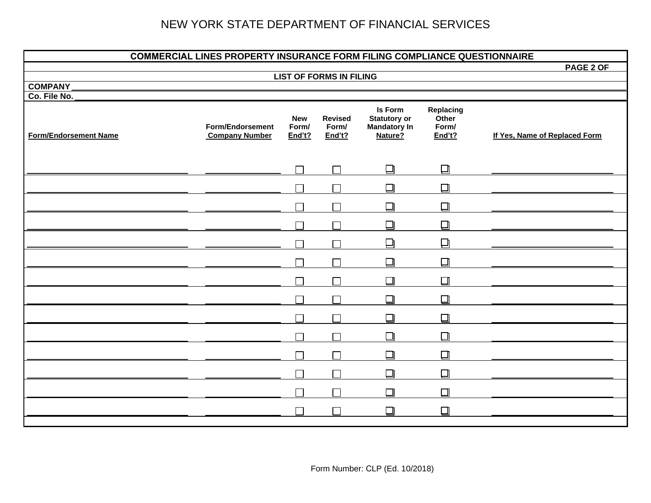## NEW YORK STATE DEPARTMENT OF FINANCIAL SERVICES

| <b>COMMERCIAL LINES PROPERTY INSURANCE FORM FILING COMPLIANCE QUESTIONNAIRE</b> |                                                  |                               |                                   |                                                                  |                                       |                               |  |  |
|---------------------------------------------------------------------------------|--------------------------------------------------|-------------------------------|-----------------------------------|------------------------------------------------------------------|---------------------------------------|-------------------------------|--|--|
|                                                                                 |                                                  |                               |                                   |                                                                  |                                       | PAGE 2 OF                     |  |  |
| <b>COMPANY</b>                                                                  |                                                  |                               | <b>LIST OF FORMS IN FILING</b>    |                                                                  |                                       |                               |  |  |
| Co. File No.                                                                    |                                                  |                               |                                   |                                                                  |                                       |                               |  |  |
| <b>Form/Endorsement Name</b>                                                    | <b>Form/Endorsement</b><br><b>Company Number</b> | <b>New</b><br>Form/<br>End't? | <b>Revised</b><br>Form/<br>End't? | Is Form<br><b>Statutory or</b><br><b>Mandatory In</b><br>Nature? | Replacing<br>Other<br>Form/<br>End't? | If Yes, Name of Replaced Form |  |  |
|                                                                                 |                                                  | $\Box$                        | $\Box$                            | ❏                                                                | $\Box$                                |                               |  |  |
|                                                                                 |                                                  | П                             | $\Box$                            | $\Box$                                                           | ❏                                     |                               |  |  |
|                                                                                 |                                                  |                               |                                   | $\Box$                                                           | $\Box$                                |                               |  |  |
|                                                                                 |                                                  |                               | $\Box$                            | ❏                                                                | ❏                                     |                               |  |  |
|                                                                                 |                                                  |                               | $\Box$                            | $\Box$                                                           | ❏                                     |                               |  |  |
|                                                                                 |                                                  | $\Box$                        | $\Box$                            | $\Box$                                                           | $\Box$                                |                               |  |  |
|                                                                                 |                                                  | $\Box$                        | $\Box$                            | $\Box$                                                           | $\Box$                                |                               |  |  |
|                                                                                 |                                                  | $\Box$                        | $\Box$                            | ❏                                                                | $\Box$                                |                               |  |  |
|                                                                                 |                                                  |                               | $\Box$                            | $\Box$                                                           | $\Box$                                |                               |  |  |
|                                                                                 |                                                  | $\Box$                        | $\Box$                            | ❏                                                                | ❏                                     |                               |  |  |
|                                                                                 |                                                  | П                             | $\Box$                            | ❏                                                                | $\Box$                                |                               |  |  |
|                                                                                 |                                                  | П                             | Г                                 | $\Box$                                                           | $\Box$                                |                               |  |  |
|                                                                                 |                                                  | $\Box$                        | $\Box$                            | $\Box$                                                           | $\Box$                                |                               |  |  |
|                                                                                 |                                                  |                               | $\Box$                            | $\Box$                                                           | $\Box$                                |                               |  |  |
|                                                                                 |                                                  |                               |                                   |                                                                  |                                       |                               |  |  |